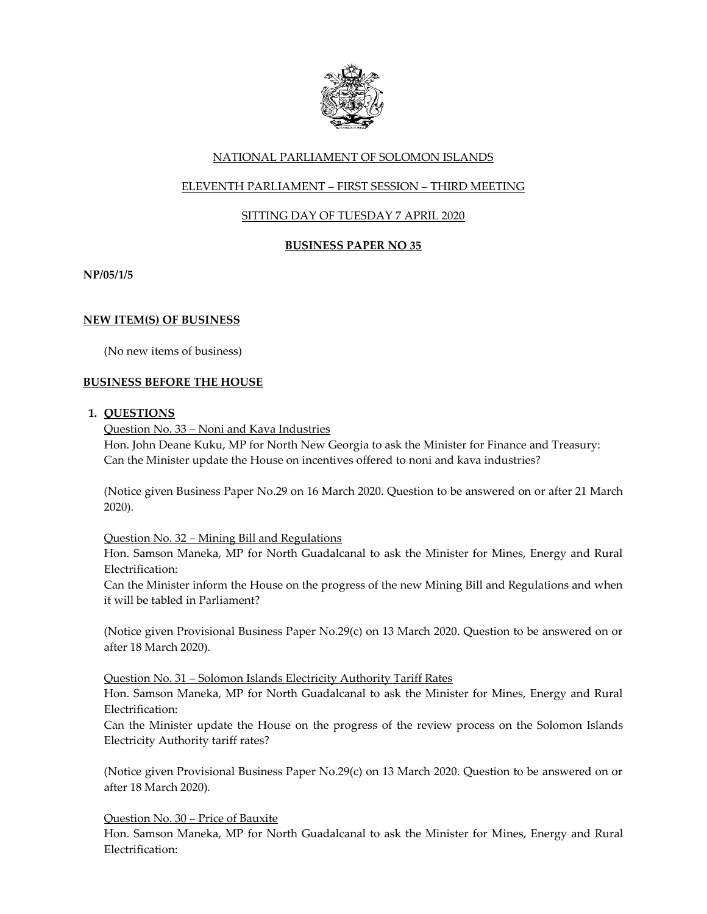

# NATIONAL PARLIAMENT OF SOLOMON ISLANDS

# ELEVENTH PARLIAMENT – FIRST SESSION – THIRD MEETING

# SITTING DAY OF TUESDAY 7 APRIL 2020

## **BUSINESS PAPER NO 35**

**NP/05/1/5**

## **NEW ITEM(S) OF BUSINESS**

(No new items of business)

### **BUSINESS BEFORE THE HOUSE**

### **1. QUESTIONS**

Question No. 33 – Noni and Kava Industries Hon. John Deane Kuku, MP for North New Georgia to ask the Minister for Finance and Treasury: Can the Minister update the House on incentives offered to noni and kava industries?

(Notice given Business Paper No.29 on 16 March 2020. Question to be answered on or after 21 March 2020).

### Question No. 32 – Mining Bill and Regulations

Hon. Samson Maneka, MP for North Guadalcanal to ask the Minister for Mines, Energy and Rural Electrification:

Can the Minister inform the House on the progress of the new Mining Bill and Regulations and when it will be tabled in Parliament?

(Notice given Provisional Business Paper No.29(c) on 13 March 2020. Question to be answered on or after 18 March 2020).

Question No. 31 – Solomon Islands Electricity Authority Tariff Rates

Hon. Samson Maneka, MP for North Guadalcanal to ask the Minister for Mines, Energy and Rural Electrification:

Can the Minister update the House on the progress of the review process on the Solomon Islands Electricity Authority tariff rates?

(Notice given Provisional Business Paper No.29(c) on 13 March 2020. Question to be answered on or after 18 March 2020).

Question No. 30 – Price of Bauxite

Hon. Samson Maneka, MP for North Guadalcanal to ask the Minister for Mines, Energy and Rural Electrification: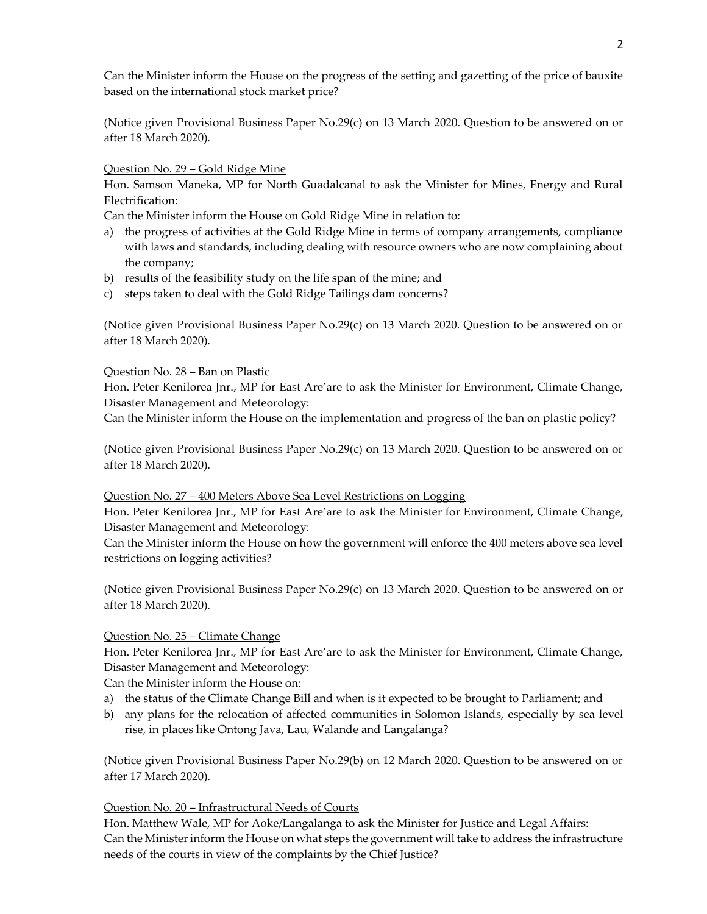Can the Minister inform the House on the progress of the setting and gazetting of the price of bauxite based on the international stock market price?

(Notice given Provisional Business Paper No.29(c) on 13 March 2020. Question to be answered on or after 18 March 2020).

### Question No. 29 – Gold Ridge Mine

Hon. Samson Maneka, MP for North Guadalcanal to ask the Minister for Mines, Energy and Rural Electrification:

Can the Minister inform the House on Gold Ridge Mine in relation to:

- a) the progress of activities at the Gold Ridge Mine in terms of company arrangements, compliance with laws and standards, including dealing with resource owners who are now complaining about the company;
- b) results of the feasibility study on the life span of the mine; and
- c) steps taken to deal with the Gold Ridge Tailings dam concerns?

(Notice given Provisional Business Paper No.29(c) on 13 March 2020. Question to be answered on or after 18 March 2020).

#### Question No. 28 – Ban on Plastic

Hon. Peter Kenilorea Jnr., MP for East Are'are to ask the Minister for Environment, Climate Change, Disaster Management and Meteorology:

Can the Minister inform the House on the implementation and progress of the ban on plastic policy?

(Notice given Provisional Business Paper No.29(c) on 13 March 2020. Question to be answered on or after 18 March 2020).

#### Question No. 27 – 400 Meters Above Sea Level Restrictions on Logging

Hon. Peter Kenilorea Jnr., MP for East Are'are to ask the Minister for Environment, Climate Change, Disaster Management and Meteorology:

Can the Minister inform the House on how the government will enforce the 400 meters above sea level restrictions on logging activities?

(Notice given Provisional Business Paper No.29(c) on 13 March 2020. Question to be answered on or after 18 March 2020).

#### Question No. 25 – Climate Change

Hon. Peter Kenilorea Jnr., MP for East Are'are to ask the Minister for Environment, Climate Change, Disaster Management and Meteorology:

Can the Minister inform the House on:

- a) the status of the Climate Change Bill and when is it expected to be brought to Parliament; and
- b) any plans for the relocation of affected communities in Solomon Islands, especially by sea level rise, in places like Ontong Java, Lau, Walande and Langalanga?

(Notice given Provisional Business Paper No.29(b) on 12 March 2020. Question to be answered on or after 17 March 2020).

### Question No. 20 – Infrastructural Needs of Courts

Hon. Matthew Wale, MP for Aoke/Langalanga to ask the Minister for Justice and Legal Affairs: Can the Minister inform the House on what steps the government will take to address the infrastructure needs of the courts in view of the complaints by the Chief Justice?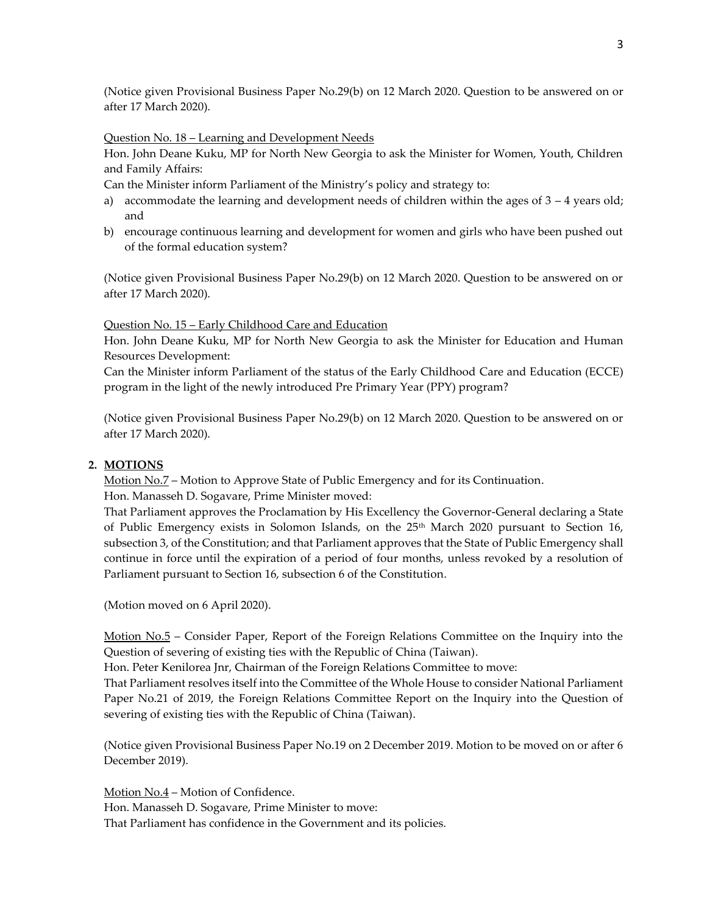(Notice given Provisional Business Paper No.29(b) on 12 March 2020. Question to be answered on or after 17 March 2020).

Question No. 18 – Learning and Development Needs

Hon. John Deane Kuku, MP for North New Georgia to ask the Minister for Women, Youth, Children and Family Affairs:

Can the Minister inform Parliament of the Ministry's policy and strategy to:

- a) accommodate the learning and development needs of children within the ages of  $3 4$  years old; and
- b) encourage continuous learning and development for women and girls who have been pushed out of the formal education system?

(Notice given Provisional Business Paper No.29(b) on 12 March 2020. Question to be answered on or after 17 March 2020).

Question No. 15 – Early Childhood Care and Education

Hon. John Deane Kuku, MP for North New Georgia to ask the Minister for Education and Human Resources Development:

Can the Minister inform Parliament of the status of the Early Childhood Care and Education (ECCE) program in the light of the newly introduced Pre Primary Year (PPY) program?

(Notice given Provisional Business Paper No.29(b) on 12 March 2020. Question to be answered on or after 17 March 2020).

### **2. MOTIONS**

Motion No.7 – Motion to Approve State of Public Emergency and for its Continuation.

Hon. Manasseh D. Sogavare, Prime Minister moved:

That Parliament approves the Proclamation by His Excellency the Governor-General declaring a State of Public Emergency exists in Solomon Islands, on the 25<sup>th</sup> March 2020 pursuant to Section 16, subsection 3, of the Constitution; and that Parliament approves that the State of Public Emergency shall continue in force until the expiration of a period of four months, unless revoked by a resolution of Parliament pursuant to Section 16, subsection 6 of the Constitution.

(Motion moved on 6 April 2020).

Motion No.5 – Consider Paper, Report of the Foreign Relations Committee on the Inquiry into the Question of severing of existing ties with the Republic of China (Taiwan).

Hon. Peter Kenilorea Jnr, Chairman of the Foreign Relations Committee to move:

That Parliament resolves itself into the Committee of the Whole House to consider National Parliament Paper No.21 of 2019, the Foreign Relations Committee Report on the Inquiry into the Question of severing of existing ties with the Republic of China (Taiwan).

(Notice given Provisional Business Paper No.19 on 2 December 2019. Motion to be moved on or after 6 December 2019).

Motion No.4 – Motion of Confidence.

Hon. Manasseh D. Sogavare, Prime Minister to move:

That Parliament has confidence in the Government and its policies.